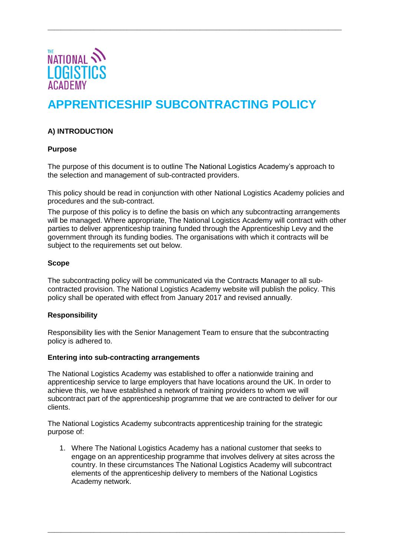

# **APPRENTICESHIP SUBCONTRACTING POLICY**

\_\_\_\_\_\_\_\_\_\_\_\_\_\_\_\_\_\_\_\_\_\_\_\_\_\_\_\_\_\_\_\_\_\_\_\_\_\_\_\_\_\_\_\_\_\_\_\_\_\_\_\_\_\_\_\_\_\_\_\_\_\_\_\_\_\_\_\_\_\_\_\_\_\_\_\_\_\_\_\_\_\_\_\_\_\_\_\_\_

# **A) INTRODUCTION**

## **Purpose**

The purpose of this document is to outline The National Logistics Academy's approach to the selection and management of sub-contracted providers.

This policy should be read in conjunction with other National Logistics Academy policies and procedures and the sub-contract.

The purpose of this policy is to define the basis on which any subcontracting arrangements will be managed. Where appropriate, The National Logistics Academy will contract with other parties to deliver apprenticeship training funded through the Apprenticeship Levy and the government through its funding bodies. The organisations with which it contracts will be subject to the requirements set out below.

## **Scope**

The subcontracting policy will be communicated via the Contracts Manager to all subcontracted provision. The National Logistics Academy website will publish the policy. This policy shall be operated with effect from January 2017 and revised annually.

## **Responsibility**

Responsibility lies with the Senior Management Team to ensure that the subcontracting policy is adhered to.

#### **Entering into sub-contracting arrangements**

The National Logistics Academy was established to offer a nationwide training and apprenticeship service to large employers that have locations around the UK. In order to achieve this, we have established a network of training providers to whom we will subcontract part of the apprenticeship programme that we are contracted to deliver for our clients.

The National Logistics Academy subcontracts apprenticeship training for the strategic purpose of:

1. Where The National Logistics Academy has a national customer that seeks to engage on an apprenticeship programme that involves delivery at sites across the country. In these circumstances The National Logistics Academy will subcontract elements of the apprenticeship delivery to members of the National Logistics Academy network.

\_\_\_\_\_\_\_\_\_\_\_\_\_\_\_\_\_\_\_\_\_\_\_\_\_\_\_\_\_\_\_\_\_\_\_\_\_\_\_\_\_\_\_\_\_\_\_\_\_\_\_\_\_\_\_\_\_\_\_\_\_\_\_\_\_\_\_\_\_\_\_\_\_\_\_\_\_\_\_\_\_\_\_\_\_\_\_\_\_\_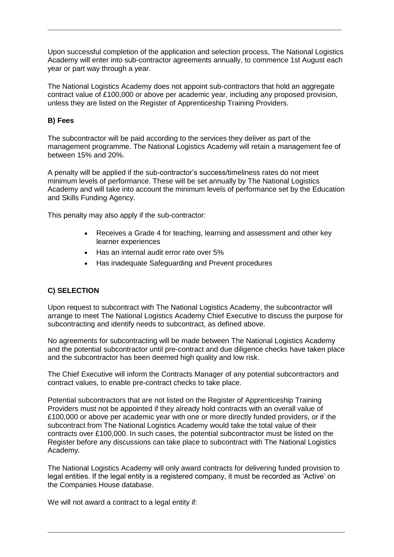Upon successful completion of the application and selection process, The National Logistics Academy will enter into sub-contractor agreements annually, to commence 1st August each year or part way through a year.

\_\_\_\_\_\_\_\_\_\_\_\_\_\_\_\_\_\_\_\_\_\_\_\_\_\_\_\_\_\_\_\_\_\_\_\_\_\_\_\_\_\_\_\_\_\_\_\_\_\_\_\_\_\_\_\_\_\_\_\_\_\_\_\_\_\_\_\_\_\_\_\_\_\_\_\_\_\_\_\_\_\_\_\_\_\_\_\_\_

The National Logistics Academy does not appoint sub-contractors that hold an aggregate contract value of £100,000 or above per academic year, including any proposed provision, unless they are listed on the Register of Apprenticeship Training Providers.

# **B) Fees**

The subcontractor will be paid according to the services they deliver as part of the management programme. The National Logistics Academy will retain a management fee of between 15% and 20%.

A penalty will be applied if the sub-contractor's success/timeliness rates do not meet minimum levels of performance. These will be set annually by The National Logistics Academy and will take into account the minimum levels of performance set by the Education and Skills Funding Agency.

This penalty may also apply if the sub-contractor:

- Receives a Grade 4 for teaching, learning and assessment and other key learner experiences
- Has an internal audit error rate over 5%
- Has inadequate Safeguarding and Prevent procedures

## **C) SELECTION**

Upon request to subcontract with The National Logistics Academy, the subcontractor will arrange to meet The National Logistics Academy Chief Executive to discuss the purpose for subcontracting and identify needs to subcontract, as defined above.

No agreements for subcontracting will be made between The National Logistics Academy and the potential subcontractor until pre-contract and due diligence checks have taken place and the subcontractor has been deemed high quality and low risk.

The Chief Executive will inform the Contracts Manager of any potential subcontractors and contract values, to enable pre-contract checks to take place.

Potential subcontractors that are not listed on the Register of Apprenticeship Training Providers must not be appointed if they already hold contracts with an overall value of £100,000 or above per academic year with one or more directly funded providers, or if the subcontract from The National Logistics Academy would take the total value of their contracts over £100,000. In such cases, the potential subcontractor must be listed on the Register before any discussions can take place to subcontract with The National Logistics Academy.

The National Logistics Academy will only award contracts for delivering funded provision to legal entities. If the legal entity is a registered company, it must be recorded as 'Active' on the Companies House database.

\_\_\_\_\_\_\_\_\_\_\_\_\_\_\_\_\_\_\_\_\_\_\_\_\_\_\_\_\_\_\_\_\_\_\_\_\_\_\_\_\_\_\_\_\_\_\_\_\_\_\_\_\_\_\_\_\_\_\_\_\_\_\_\_\_\_\_\_\_\_\_\_\_\_\_\_\_\_\_\_\_\_\_\_\_\_\_\_\_\_

We will not award a contract to a legal entity if: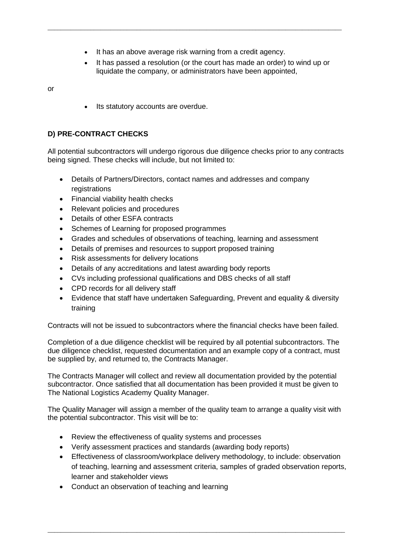• It has an above average risk warning from a credit agency.

\_\_\_\_\_\_\_\_\_\_\_\_\_\_\_\_\_\_\_\_\_\_\_\_\_\_\_\_\_\_\_\_\_\_\_\_\_\_\_\_\_\_\_\_\_\_\_\_\_\_\_\_\_\_\_\_\_\_\_\_\_\_\_\_\_\_\_\_\_\_\_\_\_\_\_\_\_\_\_\_\_\_\_\_\_\_\_\_\_

 It has passed a resolution (or the court has made an order) to wind up or liquidate the company, or administrators have been appointed,

or

• Its statutory accounts are overdue.

# **D) PRE-CONTRACT CHECKS**

All potential subcontractors will undergo rigorous due diligence checks prior to any contracts being signed. These checks will include, but not limited to:

- Details of Partners/Directors, contact names and addresses and company registrations
- Financial viability health checks
- Relevant policies and procedures
- Details of other ESFA contracts
- Schemes of Learning for proposed programmes
- Grades and schedules of observations of teaching, learning and assessment
- Details of premises and resources to support proposed training
- Risk assessments for delivery locations
- Details of any accreditations and latest awarding body reports
- CVs including professional qualifications and DBS checks of all staff
- CPD records for all delivery staff
- Evidence that staff have undertaken Safeguarding, Prevent and equality & diversity training

Contracts will not be issued to subcontractors where the financial checks have been failed.

Completion of a due diligence checklist will be required by all potential subcontractors. The due diligence checklist, requested documentation and an example copy of a contract, must be supplied by, and returned to, the Contracts Manager.

The Contracts Manager will collect and review all documentation provided by the potential subcontractor. Once satisfied that all documentation has been provided it must be given to The National Logistics Academy Quality Manager.

The Quality Manager will assign a member of the quality team to arrange a quality visit with the potential subcontractor. This visit will be to:

- Review the effectiveness of quality systems and processes
- Verify assessment practices and standards (awarding body reports)
- Effectiveness of classroom/workplace delivery methodology, to include: observation of teaching, learning and assessment criteria, samples of graded observation reports, learner and stakeholder views

\_\_\_\_\_\_\_\_\_\_\_\_\_\_\_\_\_\_\_\_\_\_\_\_\_\_\_\_\_\_\_\_\_\_\_\_\_\_\_\_\_\_\_\_\_\_\_\_\_\_\_\_\_\_\_\_\_\_\_\_\_\_\_\_\_\_\_\_\_\_\_\_\_\_\_\_\_\_\_\_\_\_\_\_\_\_\_\_\_\_

• Conduct an observation of teaching and learning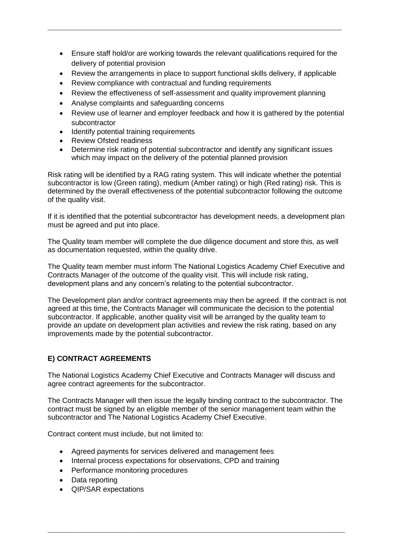Ensure staff hold/or are working towards the relevant qualifications required for the delivery of potential provision

\_\_\_\_\_\_\_\_\_\_\_\_\_\_\_\_\_\_\_\_\_\_\_\_\_\_\_\_\_\_\_\_\_\_\_\_\_\_\_\_\_\_\_\_\_\_\_\_\_\_\_\_\_\_\_\_\_\_\_\_\_\_\_\_\_\_\_\_\_\_\_\_\_\_\_\_\_\_\_\_\_\_\_\_\_\_\_\_\_

- Review the arrangements in place to support functional skills delivery, if applicable
- Review compliance with contractual and funding requirements
- Review the effectiveness of self-assessment and quality improvement planning
- Analyse complaints and safeguarding concerns
- Review use of learner and employer feedback and how it is gathered by the potential subcontractor
- Identify potential training requirements
- Review Ofsted readiness
- Determine risk rating of potential subcontractor and identify any significant issues which may impact on the delivery of the potential planned provision

Risk rating will be identified by a RAG rating system. This will indicate whether the potential subcontractor is low (Green rating), medium (Amber rating) or high (Red rating) risk. This is determined by the overall effectiveness of the potential subcontractor following the outcome of the quality visit.

If it is identified that the potential subcontractor has development needs, a development plan must be agreed and put into place.

The Quality team member will complete the due diligence document and store this, as well as documentation requested, within the quality drive.

The Quality team member must inform The National Logistics Academy Chief Executive and Contracts Manager of the outcome of the quality visit. This will include risk rating, development plans and any concern's relating to the potential subcontractor.

The Development plan and/or contract agreements may then be agreed. If the contract is not agreed at this time, the Contracts Manager will communicate the decision to the potential subcontractor. If applicable, another quality visit will be arranged by the quality team to provide an update on development plan activities and review the risk rating, based on any improvements made by the potential subcontractor.

## **E) CONTRACT AGREEMENTS**

The National Logistics Academy Chief Executive and Contracts Manager will discuss and agree contract agreements for the subcontractor.

The Contracts Manager will then issue the legally binding contract to the subcontractor. The contract must be signed by an eligible member of the senior management team within the subcontractor and The National Logistics Academy Chief Executive.

\_\_\_\_\_\_\_\_\_\_\_\_\_\_\_\_\_\_\_\_\_\_\_\_\_\_\_\_\_\_\_\_\_\_\_\_\_\_\_\_\_\_\_\_\_\_\_\_\_\_\_\_\_\_\_\_\_\_\_\_\_\_\_\_\_\_\_\_\_\_\_\_\_\_\_\_\_\_\_\_\_\_\_\_\_\_\_\_\_\_

Contract content must include, but not limited to:

- Agreed payments for services delivered and management fees
- Internal process expectations for observations, CPD and training
- Performance monitoring procedures
- Data reporting
- QIP/SAR expectations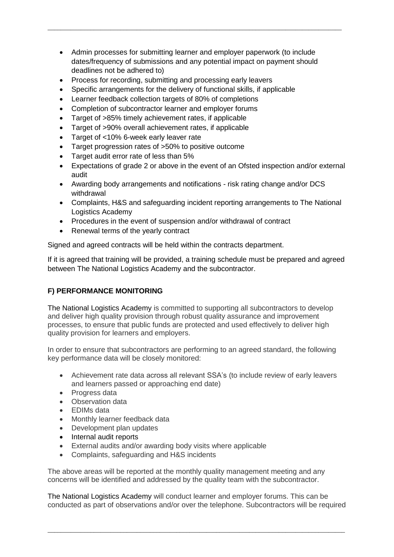• Admin processes for submitting learner and employer paperwork (to include dates/frequency of submissions and any potential impact on payment should deadlines not be adhered to)

\_\_\_\_\_\_\_\_\_\_\_\_\_\_\_\_\_\_\_\_\_\_\_\_\_\_\_\_\_\_\_\_\_\_\_\_\_\_\_\_\_\_\_\_\_\_\_\_\_\_\_\_\_\_\_\_\_\_\_\_\_\_\_\_\_\_\_\_\_\_\_\_\_\_\_\_\_\_\_\_\_\_\_\_\_\_\_\_\_

- Process for recording, submitting and processing early leavers
- Specific arrangements for the delivery of functional skills, if applicable
- Learner feedback collection targets of 80% of completions
- Completion of subcontractor learner and employer forums
- Target of >85% timely achievement rates, if applicable
- Target of >90% overall achievement rates, if applicable
- Target of <10% 6-week early leaver rate
- Target progression rates of >50% to positive outcome
- Target audit error rate of less than 5%
- Expectations of grade 2 or above in the event of an Ofsted inspection and/or external audit
- Awarding body arrangements and notifications risk rating change and/or DCS withdrawal
- Complaints, H&S and safeguarding incident reporting arrangements to The National Logistics Academy
- Procedures in the event of suspension and/or withdrawal of contract
- Renewal terms of the yearly contract

Signed and agreed contracts will be held within the contracts department.

If it is agreed that training will be provided, a training schedule must be prepared and agreed between The National Logistics Academy and the subcontractor.

## **F) PERFORMANCE MONITORING**

The National Logistics Academy is committed to supporting all subcontractors to develop and deliver high quality provision through robust quality assurance and improvement processes, to ensure that public funds are protected and used effectively to deliver high quality provision for learners and employers.

In order to ensure that subcontractors are performing to an agreed standard, the following key performance data will be closely monitored:

- Achievement rate data across all relevant SSA's (to include review of early leavers and learners passed or approaching end date)
- Progress data
- Observation data
- EDIMs data
- Monthly learner feedback data
- Development plan updates
- Internal audit reports
- External audits and/or awarding body visits where applicable
- Complaints, safeguarding and H&S incidents

The above areas will be reported at the monthly quality management meeting and any concerns will be identified and addressed by the quality team with the subcontractor.

The National Logistics Academy will conduct learner and employer forums. This can be conducted as part of observations and/or over the telephone. Subcontractors will be required

\_\_\_\_\_\_\_\_\_\_\_\_\_\_\_\_\_\_\_\_\_\_\_\_\_\_\_\_\_\_\_\_\_\_\_\_\_\_\_\_\_\_\_\_\_\_\_\_\_\_\_\_\_\_\_\_\_\_\_\_\_\_\_\_\_\_\_\_\_\_\_\_\_\_\_\_\_\_\_\_\_\_\_\_\_\_\_\_\_\_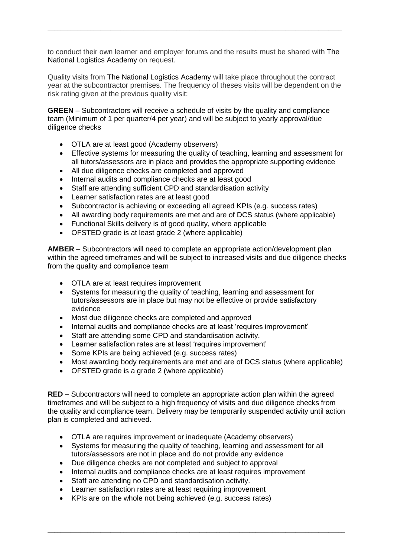to conduct their own learner and employer forums and the results must be shared with The National Logistics Academy on request.

\_\_\_\_\_\_\_\_\_\_\_\_\_\_\_\_\_\_\_\_\_\_\_\_\_\_\_\_\_\_\_\_\_\_\_\_\_\_\_\_\_\_\_\_\_\_\_\_\_\_\_\_\_\_\_\_\_\_\_\_\_\_\_\_\_\_\_\_\_\_\_\_\_\_\_\_\_\_\_\_\_\_\_\_\_\_\_\_\_

Quality visits from The National Logistics Academy will take place throughout the contract year at the subcontractor premises. The frequency of theses visits will be dependent on the risk rating given at the previous quality visit:

**GREEN** – Subcontractors will receive a schedule of visits by the quality and compliance team (Minimum of 1 per quarter/4 per year) and will be subject to yearly approval/due diligence checks

- OTLA are at least good (Academy observers)
- Effective systems for measuring the quality of teaching, learning and assessment for all tutors/assessors are in place and provides the appropriate supporting evidence
- All due diligence checks are completed and approved
- Internal audits and compliance checks are at least good
- Staff are attending sufficient CPD and standardisation activity
- Learner satisfaction rates are at least good
- Subcontractor is achieving or exceeding all agreed KPIs (e.g. success rates)
- All awarding body requirements are met and are of DCS status (where applicable)
- Functional Skills delivery is of good quality, where applicable
- OFSTED grade is at least grade 2 (where applicable)

**AMBER** – Subcontractors will need to complete an appropriate action/development plan within the agreed timeframes and will be subject to increased visits and due diligence checks from the quality and compliance team

- OTLA are at least requires improvement
- Systems for measuring the quality of teaching, learning and assessment for tutors/assessors are in place but may not be effective or provide satisfactory evidence
- Most due diligence checks are completed and approved
- Internal audits and compliance checks are at least 'requires improvement'
- Staff are attending some CPD and standardisation activity.
- Learner satisfaction rates are at least 'requires improvement'
- Some KPIs are being achieved (e.g. success rates)
- Most awarding body requirements are met and are of DCS status (where applicable)
- OFSTED grade is a grade 2 (where applicable)

**RED** – Subcontractors will need to complete an appropriate action plan within the agreed timeframes and will be subject to a high frequency of visits and due diligence checks from the quality and compliance team. Delivery may be temporarily suspended activity until action plan is completed and achieved.

- OTLA are requires improvement or inadequate (Academy observers)
- Systems for measuring the quality of teaching, learning and assessment for all tutors/assessors are not in place and do not provide any evidence

\_\_\_\_\_\_\_\_\_\_\_\_\_\_\_\_\_\_\_\_\_\_\_\_\_\_\_\_\_\_\_\_\_\_\_\_\_\_\_\_\_\_\_\_\_\_\_\_\_\_\_\_\_\_\_\_\_\_\_\_\_\_\_\_\_\_\_\_\_\_\_\_\_\_\_\_\_\_\_\_\_\_\_\_\_\_\_\_\_\_

- Due diligence checks are not completed and subject to approval
- Internal audits and compliance checks are at least requires improvement
- Staff are attending no CPD and standardisation activity.
- Learner satisfaction rates are at least requiring improvement
- KPIs are on the whole not being achieved (e.g. success rates)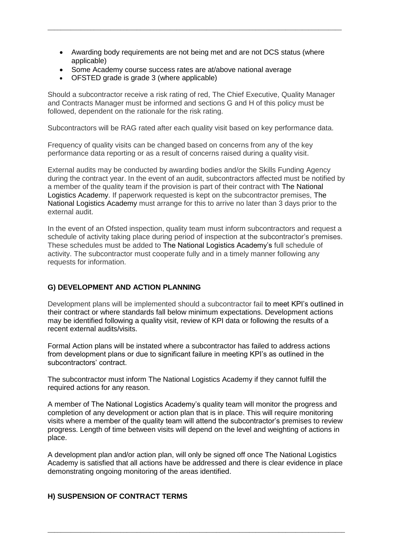Awarding body requirements are not being met and are not DCS status (where applicable)

\_\_\_\_\_\_\_\_\_\_\_\_\_\_\_\_\_\_\_\_\_\_\_\_\_\_\_\_\_\_\_\_\_\_\_\_\_\_\_\_\_\_\_\_\_\_\_\_\_\_\_\_\_\_\_\_\_\_\_\_\_\_\_\_\_\_\_\_\_\_\_\_\_\_\_\_\_\_\_\_\_\_\_\_\_\_\_\_\_

- Some Academy course success rates are at/above national average
- OFSTED grade is grade 3 (where applicable)

Should a subcontractor receive a risk rating of red, The Chief Executive, Quality Manager and Contracts Manager must be informed and sections G and H of this policy must be followed, dependent on the rationale for the risk rating.

Subcontractors will be RAG rated after each quality visit based on key performance data.

Frequency of quality visits can be changed based on concerns from any of the key performance data reporting or as a result of concerns raised during a quality visit.

External audits may be conducted by awarding bodies and/or the Skills Funding Agency during the contract year. In the event of an audit, subcontractors affected must be notified by a member of the quality team if the provision is part of their contract with The National Logistics Academy. If paperwork requested is kept on the subcontractor premises, The National Logistics Academy must arrange for this to arrive no later than 3 days prior to the external audit.

In the event of an Ofsted inspection, quality team must inform subcontractors and request a schedule of activity taking place during period of inspection at the subcontractor's premises. These schedules must be added to The National Logistics Academy's full schedule of activity. The subcontractor must cooperate fully and in a timely manner following any requests for information.

## **G) DEVELOPMENT AND ACTION PLANNING**

Development plans will be implemented should a subcontractor fail to meet KPI's outlined in their contract or where standards fall below minimum expectations. Development actions may be identified following a quality visit, review of KPI data or following the results of a recent external audits/visits.

Formal Action plans will be instated where a subcontractor has failed to address actions from development plans or due to significant failure in meeting KPI's as outlined in the subcontractors' contract.

The subcontractor must inform The National Logistics Academy if they cannot fulfill the required actions for any reason.

A member of The National Logistics Academy's quality team will monitor the progress and completion of any development or action plan that is in place. This will require monitoring visits where a member of the quality team will attend the subcontractor's premises to review progress. Length of time between visits will depend on the level and weighting of actions in place.

A development plan and/or action plan, will only be signed off once The National Logistics Academy is satisfied that all actions have be addressed and there is clear evidence in place demonstrating ongoing monitoring of the areas identified.

\_\_\_\_\_\_\_\_\_\_\_\_\_\_\_\_\_\_\_\_\_\_\_\_\_\_\_\_\_\_\_\_\_\_\_\_\_\_\_\_\_\_\_\_\_\_\_\_\_\_\_\_\_\_\_\_\_\_\_\_\_\_\_\_\_\_\_\_\_\_\_\_\_\_\_\_\_\_\_\_\_\_\_\_\_\_\_\_\_\_

## **H) SUSPENSION OF CONTRACT TERMS**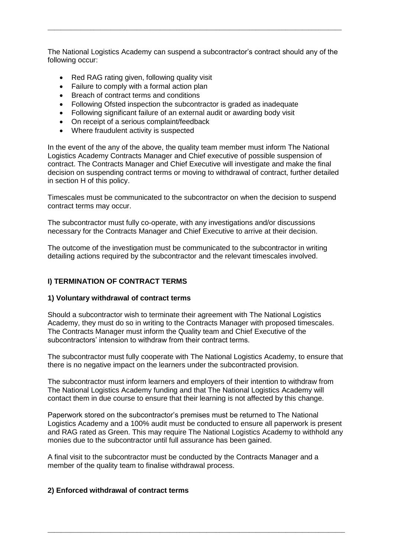The National Logistics Academy can suspend a subcontractor's contract should any of the following occur:

\_\_\_\_\_\_\_\_\_\_\_\_\_\_\_\_\_\_\_\_\_\_\_\_\_\_\_\_\_\_\_\_\_\_\_\_\_\_\_\_\_\_\_\_\_\_\_\_\_\_\_\_\_\_\_\_\_\_\_\_\_\_\_\_\_\_\_\_\_\_\_\_\_\_\_\_\_\_\_\_\_\_\_\_\_\_\_\_\_

- Red RAG rating given, following quality visit
- Failure to comply with a formal action plan
- Breach of contract terms and conditions
- Following Ofsted inspection the subcontractor is graded as inadequate
- Following significant failure of an external audit or awarding body visit
- On receipt of a serious complaint/feedback
- Where fraudulent activity is suspected

In the event of the any of the above, the quality team member must inform The National Logistics Academy Contracts Manager and Chief executive of possible suspension of contract. The Contracts Manager and Chief Executive will investigate and make the final decision on suspending contract terms or moving to withdrawal of contract, further detailed in section H of this policy.

Timescales must be communicated to the subcontractor on when the decision to suspend contract terms may occur.

The subcontractor must fully co-operate, with any investigations and/or discussions necessary for the Contracts Manager and Chief Executive to arrive at their decision.

The outcome of the investigation must be communicated to the subcontractor in writing detailing actions required by the subcontractor and the relevant timescales involved.

## **I) TERMINATION OF CONTRACT TERMS**

#### **1) Voluntary withdrawal of contract terms**

Should a subcontractor wish to terminate their agreement with The National Logistics Academy, they must do so in writing to the Contracts Manager with proposed timescales. The Contracts Manager must inform the Quality team and Chief Executive of the subcontractors' intension to withdraw from their contract terms.

The subcontractor must fully cooperate with The National Logistics Academy, to ensure that there is no negative impact on the learners under the subcontracted provision.

The subcontractor must inform learners and employers of their intention to withdraw from The National Logistics Academy funding and that The National Logistics Academy will contact them in due course to ensure that their learning is not affected by this change.

Paperwork stored on the subcontractor's premises must be returned to The National Logistics Academy and a 100% audit must be conducted to ensure all paperwork is present and RAG rated as Green. This may require The National Logistics Academy to withhold any monies due to the subcontractor until full assurance has been gained.

\_\_\_\_\_\_\_\_\_\_\_\_\_\_\_\_\_\_\_\_\_\_\_\_\_\_\_\_\_\_\_\_\_\_\_\_\_\_\_\_\_\_\_\_\_\_\_\_\_\_\_\_\_\_\_\_\_\_\_\_\_\_\_\_\_\_\_\_\_\_\_\_\_\_\_\_\_\_\_\_\_\_\_\_\_\_\_\_\_\_

A final visit to the subcontractor must be conducted by the Contracts Manager and a member of the quality team to finalise withdrawal process.

#### **2) Enforced withdrawal of contract terms**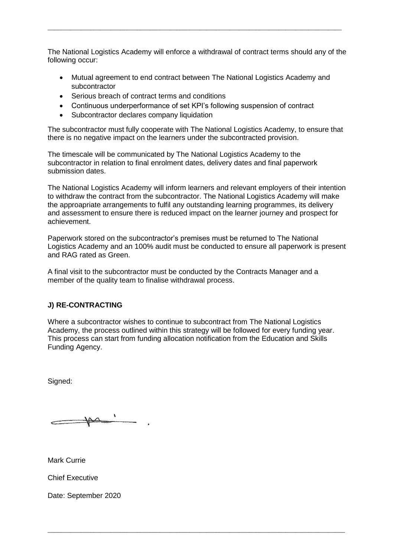The National Logistics Academy will enforce a withdrawal of contract terms should any of the following occur:

\_\_\_\_\_\_\_\_\_\_\_\_\_\_\_\_\_\_\_\_\_\_\_\_\_\_\_\_\_\_\_\_\_\_\_\_\_\_\_\_\_\_\_\_\_\_\_\_\_\_\_\_\_\_\_\_\_\_\_\_\_\_\_\_\_\_\_\_\_\_\_\_\_\_\_\_\_\_\_\_\_\_\_\_\_\_\_\_\_

- Mutual agreement to end contract between The National Logistics Academy and subcontractor
- Serious breach of contract terms and conditions
- Continuous underperformance of set KPI's following suspension of contract
- Subcontractor declares company liquidation

The subcontractor must fully cooperate with The National Logistics Academy, to ensure that there is no negative impact on the learners under the subcontracted provision.

The timescale will be communicated by The National Logistics Academy to the subcontractor in relation to final enrolment dates, delivery dates and final paperwork submission dates.

The National Logistics Academy will inform learners and relevant employers of their intention to withdraw the contract from the subcontractor. The National Logistics Academy will make the approapriate arrangements to fulfil any outstanding learning programmes, its delivery and assessment to ensure there is reduced impact on the learner journey and prospect for achievement.

Paperwork stored on the subcontractor's premises must be returned to The National Logistics Academy and an 100% audit must be conducted to ensure all paperwork is present and RAG rated as Green.

A final visit to the subcontractor must be conducted by the Contracts Manager and a member of the quality team to finalise withdrawal process.

## **J) RE-CONTRACTING**

Where a subcontractor wishes to continue to subcontract from The National Logistics Academy, the process outlined within this strategy will be followed for every funding year. This process can start from funding allocation notification from the Education and Skills Funding Agency.

\_\_\_\_\_\_\_\_\_\_\_\_\_\_\_\_\_\_\_\_\_\_\_\_\_\_\_\_\_\_\_\_\_\_\_\_\_\_\_\_\_\_\_\_\_\_\_\_\_\_\_\_\_\_\_\_\_\_\_\_\_\_\_\_\_\_\_\_\_\_\_\_\_\_\_\_\_\_\_\_\_\_\_\_\_\_\_\_\_\_

Signed:

Mark Currie

Chief Executive

Date: September 2020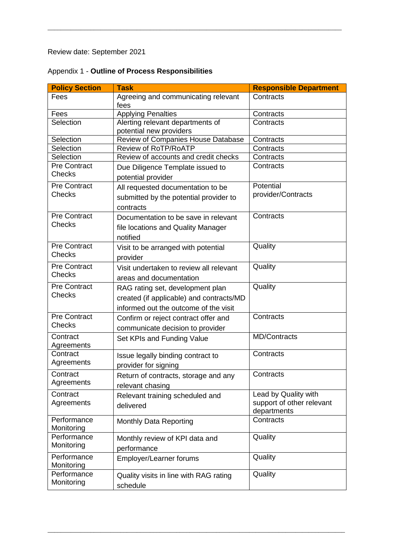Review date: September 2021

| Appendix 1 - Outline of Process Responsibilities |
|--------------------------------------------------|
|--------------------------------------------------|

| <b>Policy Section</b>                | <b>Task</b>                                                                                                           | <b>Responsible Department</b>                                    |
|--------------------------------------|-----------------------------------------------------------------------------------------------------------------------|------------------------------------------------------------------|
| Fees                                 | Agreeing and communicating relevant<br>fees                                                                           | Contracts                                                        |
| Fees                                 | <b>Applying Penalties</b>                                                                                             | Contracts                                                        |
| Selection                            | Alerting relevant departments of<br>potential new providers                                                           | Contracts                                                        |
| Selection                            | Review of Companies House Database                                                                                    | Contracts                                                        |
| Selection                            | <b>Review of RoTP/RoATP</b>                                                                                           | Contracts                                                        |
| Selection                            | Review of accounts and credit checks                                                                                  | Contracts                                                        |
| <b>Pre Contract</b><br><b>Checks</b> | Due Diligence Template issued to<br>potential provider                                                                | Contracts                                                        |
| <b>Pre Contract</b><br><b>Checks</b> | All requested documentation to be<br>submitted by the potential provider to<br>contracts                              | Potential<br>provider/Contracts                                  |
| <b>Pre Contract</b><br><b>Checks</b> | Documentation to be save in relevant<br>file locations and Quality Manager<br>notified                                | Contracts                                                        |
| <b>Pre Contract</b><br>Checks        | Visit to be arranged with potential<br>provider                                                                       | Quality                                                          |
| <b>Pre Contract</b><br><b>Checks</b> | Visit undertaken to review all relevant<br>areas and documentation                                                    | Quality                                                          |
| <b>Pre Contract</b><br><b>Checks</b> | RAG rating set, development plan<br>created (if applicable) and contracts/MD<br>informed out the outcome of the visit | Quality                                                          |
| <b>Pre Contract</b><br><b>Checks</b> | Confirm or reject contract offer and<br>communicate decision to provider                                              | Contracts                                                        |
| Contract<br>Agreements               | Set KPIs and Funding Value                                                                                            | <b>MD/Contracts</b>                                              |
| Contract<br>Agreements               | Issue legally binding contract to<br>provider for signing                                                             | Contracts                                                        |
| Contract<br>Agreements               | Return of contracts, storage and any<br>relevant chasing                                                              | Contracts                                                        |
| Contract<br>Agreements               | Relevant training scheduled and<br>delivered                                                                          | Lead by Quality with<br>support of other relevant<br>departments |
| Performance<br>Monitoring            | <b>Monthly Data Reporting</b>                                                                                         | Contracts                                                        |
| Performance<br>Monitoring            | Monthly review of KPI data and<br>performance                                                                         | Quality                                                          |
| Performance<br>Monitoring            | Employer/Learner forums                                                                                               | Quality                                                          |
| Performance<br>Monitoring            | Quality visits in line with RAG rating<br>schedule                                                                    | Quality                                                          |

\_\_\_\_\_\_\_\_\_\_\_\_\_\_\_\_\_\_\_\_\_\_\_\_\_\_\_\_\_\_\_\_\_\_\_\_\_\_\_\_\_\_\_\_\_\_\_\_\_\_\_\_\_\_\_\_\_\_\_\_\_\_\_\_\_\_\_\_\_\_\_\_\_\_\_\_\_\_\_\_\_\_\_\_\_\_\_\_\_\_

\_\_\_\_\_\_\_\_\_\_\_\_\_\_\_\_\_\_\_\_\_\_\_\_\_\_\_\_\_\_\_\_\_\_\_\_\_\_\_\_\_\_\_\_\_\_\_\_\_\_\_\_\_\_\_\_\_\_\_\_\_\_\_\_\_\_\_\_\_\_\_\_\_\_\_\_\_\_\_\_\_\_\_\_\_\_\_\_\_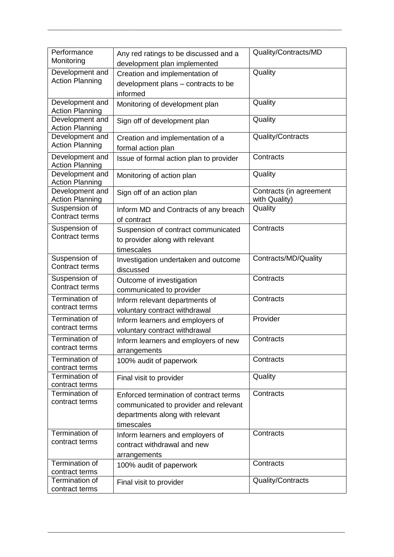|  | Performance<br>Monitoring                 | Any red ratings to be discussed and a<br>development plan implemented | Quality/Contracts/MD                     |
|--|-------------------------------------------|-----------------------------------------------------------------------|------------------------------------------|
|  | Development and                           | Creation and implementation of                                        | Quality                                  |
|  | <b>Action Planning</b>                    | development plans - contracts to be                                   |                                          |
|  |                                           | informed                                                              |                                          |
|  | Development and<br><b>Action Planning</b> | Monitoring of development plan                                        | Quality                                  |
|  | Development and<br><b>Action Planning</b> | Sign off of development plan                                          | Quality                                  |
|  | Development and                           | Creation and implementation of a                                      | Quality/Contracts                        |
|  | <b>Action Planning</b>                    | formal action plan                                                    |                                          |
|  | Development and<br><b>Action Planning</b> | Issue of formal action plan to provider                               | Contracts                                |
|  | Development and<br><b>Action Planning</b> | Monitoring of action plan                                             | Quality                                  |
|  | Development and<br><b>Action Planning</b> | Sign off of an action plan                                            | Contracts (in agreement<br>with Quality) |
|  | Suspension of<br><b>Contract terms</b>    | Inform MD and Contracts of any breach<br>of contract                  | Quality                                  |
|  | Suspension of                             | Suspension of contract communicated                                   | Contracts                                |
|  | <b>Contract terms</b>                     | to provider along with relevant                                       |                                          |
|  |                                           | timescales                                                            |                                          |
|  | Suspension of                             | Investigation undertaken and outcome                                  | Contracts/MD/Quality                     |
|  | <b>Contract terms</b>                     | discussed                                                             |                                          |
|  | Suspension of                             | Outcome of investigation                                              | Contracts                                |
|  | Contract terms                            | communicated to provider                                              |                                          |
|  | <b>Termination of</b>                     | Inform relevant departments of                                        | Contracts                                |
|  | contract terms                            | voluntary contract withdrawal                                         |                                          |
|  | Termination of                            | Inform learners and employers of                                      | Provider                                 |
|  | contract terms                            | voluntary contract withdrawal                                         |                                          |
|  | Termination of                            | Inform learners and employers of new                                  | Contracts                                |
|  | contract terms                            | arrangements                                                          |                                          |
|  | Termination of<br>contract terms          | 100% audit of paperwork                                               | Contracts                                |
|  | Termination of                            | Final visit to provider                                               | Quality                                  |
|  | contract terms                            |                                                                       |                                          |
|  | Termination of                            | Enforced termination of contract terms                                | Contracts                                |
|  | contract terms                            | communicated to provider and relevant                                 |                                          |
|  |                                           | departments along with relevant                                       |                                          |
|  |                                           | timescales                                                            |                                          |
|  | Termination of                            | Inform learners and employers of                                      | Contracts                                |
|  | contract terms                            | contract withdrawal and new                                           |                                          |
|  |                                           | arrangements                                                          |                                          |
|  | Termination of<br>contract terms          | 100% audit of paperwork                                               | Contracts                                |
|  | Termination of                            | Final visit to provider                                               | Quality/Contracts                        |
|  | contract terms                            |                                                                       |                                          |

\_\_\_\_\_\_\_\_\_\_\_\_\_\_\_\_\_\_\_\_\_\_\_\_\_\_\_\_\_\_\_\_\_\_\_\_\_\_\_\_\_\_\_\_\_\_\_\_\_\_\_\_\_\_\_\_\_\_\_\_\_\_\_\_\_\_\_\_\_\_\_\_\_\_\_\_\_\_\_\_\_\_\_\_\_\_\_\_\_\_

\_\_\_\_\_\_\_\_\_\_\_\_\_\_\_\_\_\_\_\_\_\_\_\_\_\_\_\_\_\_\_\_\_\_\_\_\_\_\_\_\_\_\_\_\_\_\_\_\_\_\_\_\_\_\_\_\_\_\_\_\_\_\_\_\_\_\_\_\_\_\_\_\_\_\_\_\_\_\_\_\_\_\_\_\_\_\_\_\_